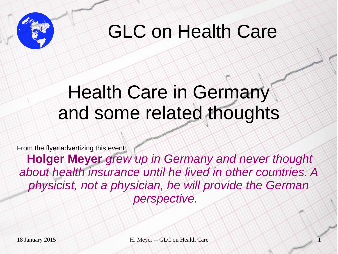

#### GLC on Health Care

#### Health Care in Germany and some related thoughts

From the flyer advertizing this event:

**Holger Meyer** *grew up in Germany and never thought about health insurance until he lived in other countries. A physicist, not a physician, he will provide the German perspective.*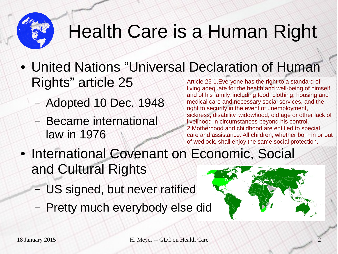# Health Care is a Human Right

- United Nations "Universal Declaration of Human Rights" article 25 Article 25 1.Everyone has the right to a standard of
	- Adopted 10 Dec. 1948
	- Became international law in 1976
- living adequate for the health and well-being of himself and of his family, including food, clothing, housing and medical care and necessary social services, and the right to security in the event of unemployment, sickness, disability, widowhood, old age or other lack of livelihood in circumstances beyond his control. 2.Motherhood and childhood are entitled to special care and assistance. All children, whether born in or out of wedlock, shall enjoy the same social protection.
- International Covenant on Economic, Social and Cultural Rights
	- US signed, but never ratified
	- Pretty much everybody else did

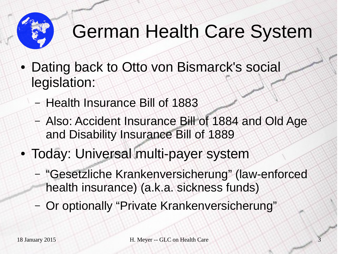

## German Health Care System

- Dating back to Otto von Bismarck's social legislation:
	- Health Insurance Bill of 1883
	- Also: Accident Insurance Bill of 1884 and Old Age and Disability Insurance Bill of 1889
- Today: Universal multi-payer system
	- "Gesetzliche Krankenversicherung" (law-enforced health insurance) (a.k.a. sickness funds)
	- Or optionally "Private Krankenversicherung"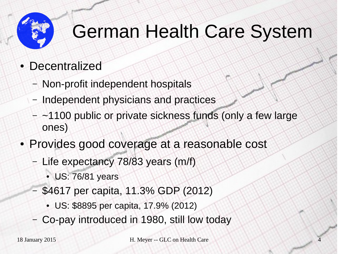

## German Health Care System

- Decentralized
	- Non-profit independent hospitals
	- Independent physicians and practices
	- ~1100 public or private sickness funds (only a few large ones)
- Provides good coverage at a reasonable cost
	- Life expectancy 78/83 years (m/f)
		- US: 76/81 years
	- \$4617 per capita, 11.3% GDP (2012)
		- US: \$8895 per capita, 17.9% (2012)
	- Co-pay introduced in 1980, still low today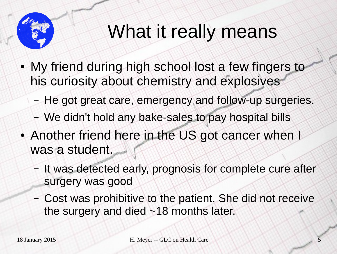

## What it really means

- My friend during high school lost a few fingers to his curiosity about chemistry and explosives
	- He got great care, emergency and follow-up surgeries.
	- We didn't hold any bake-sales to pay hospital bills
- Another friend here in the US got cancer when I was a student.
	- It was detected early, prognosis for complete cure after surgery was good
	- Cost was prohibitive to the patient. She did not receive the surgery and died ~18 months later.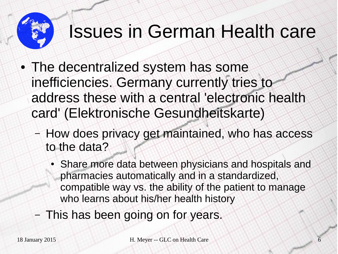#### Issues in German Health care

- The decentralized system has some inefficiencies. Germany currently tries to address these with a central 'electronic health card' (Elektronische Gesundheitskarte)
	- How does privacy get maintained, who has access to the data?
		- Share more data between physicians and hospitals and pharmacies automatically and in a standardized, compatible way vs. the ability of the patient to manage who learns about his/her health history
	- This has been going on for years.